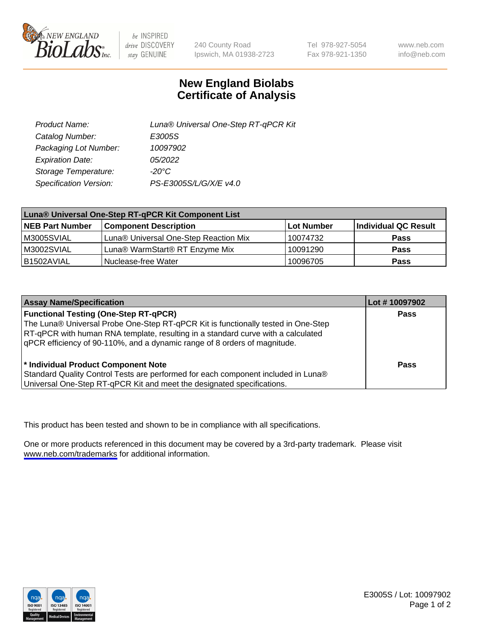

be INSPIRED drive DISCOVERY stay GENUINE

240 County Road Ipswich, MA 01938-2723 Tel 978-927-5054 Fax 978-921-1350

www.neb.com info@neb.com

## **New England Biolabs Certificate of Analysis**

| Product Name:           | Luna® Universal One-Step RT-qPCR Kit |  |
|-------------------------|--------------------------------------|--|
| Catalog Number:         | E3005S                               |  |
| Packaging Lot Number:   | 10097902                             |  |
| <b>Expiration Date:</b> | 05/2022                              |  |
| Storage Temperature:    | $-20^{\circ}$ C                      |  |
| Specification Version:  | PS-E3005S/L/G/X/E v4.0               |  |

| Luna® Universal One-Step RT-qPCR Kit Component List |                                       |            |                      |  |
|-----------------------------------------------------|---------------------------------------|------------|----------------------|--|
| <b>NEB Part Number</b>                              | <b>Component Description</b>          | Lot Number | Individual QC Result |  |
| M3005SVIAL                                          | Luna® Universal One-Step Reaction Mix | 10074732   | Pass                 |  |
| M3002SVIAL                                          | Luna® WarmStart® RT Enzyme Mix        | 10091290   | <b>Pass</b>          |  |
| B1502AVIAL                                          | Nuclease-free Water                   | 10096705   | <b>Pass</b>          |  |

| <b>Assay Name/Specification</b>                                                   | Lot # 10097902 |
|-----------------------------------------------------------------------------------|----------------|
| <b>Functional Testing (One-Step RT-qPCR)</b>                                      | <b>Pass</b>    |
| The Luna® Universal Probe One-Step RT-qPCR Kit is functionally tested in One-Step |                |
| RT-qPCR with human RNA template, resulting in a standard curve with a calculated  |                |
| gPCR efficiency of 90-110%, and a dynamic range of 8 orders of magnitude.         |                |
| <sup>*</sup> Individual Product Component Note                                    | Pass           |
| Standard Quality Control Tests are performed for each component included in Luna® |                |
| Universal One-Step RT-qPCR Kit and meet the designated specifications.            |                |

This product has been tested and shown to be in compliance with all specifications.

One or more products referenced in this document may be covered by a 3rd-party trademark. Please visit <www.neb.com/trademarks>for additional information.